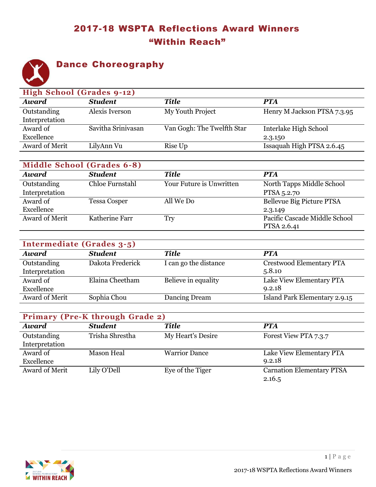# 2017-18 WSPTA Reflections Award Winners "Within Reach"



### Dance Choreography

|                | High School (Grades 9-12) |                            |                             |  |  |
|----------------|---------------------------|----------------------------|-----------------------------|--|--|
| <b>Award</b>   | <b>Student</b>            | <b>Title</b>               | <b>PTA</b>                  |  |  |
| Outstanding    | Alexis Iverson            | My Youth Project           | Henry M Jackson PTSA 7.3.95 |  |  |
| Interpretation |                           |                            |                             |  |  |
| Award of       | Savitha Srinivasan        | Van Gogh: The Twelfth Star | Interlake High School       |  |  |
| Excellence     |                           |                            | 2.3.150                     |  |  |
| Award of Merit | LilyAnn Vu                | Rise Up                    | Issaquah High PTSA 2.6.45   |  |  |

| <b>Middle School (Grades 6-8)</b> |                     |                          |                               |  |
|-----------------------------------|---------------------|--------------------------|-------------------------------|--|
| <b>Award</b>                      | <b>Student</b>      | Title                    | <b>PTA</b>                    |  |
| Outstanding                       | Chloe Furnstahl     | Your Future is Unwritten | North Tapps Middle School     |  |
| Interpretation                    |                     |                          | PTSA 5.2.70                   |  |
| Award of                          | <b>Tessa Cosper</b> | All We Do                | Bellevue Big Picture PTSA     |  |
| Excellence                        |                     |                          | 2.3.149                       |  |
| Award of Merit                    | Katherine Farr      | Try                      | Pacific Cascade Middle School |  |
|                                   |                     |                          | PTSA 2.6.41                   |  |

| Intermediate (Grades 3-5) |                  |                       |                                 |  |
|---------------------------|------------------|-----------------------|---------------------------------|--|
| <b>Award</b>              | <b>Student</b>   | Title                 | <b>PTA</b>                      |  |
| Outstanding               | Dakota Frederick | I can go the distance | <b>Crestwood Elementary PTA</b> |  |
| Interpretation            |                  |                       | 5.8.10                          |  |
| Award of                  | Elaina Cheetham  | Believe in equality   | Lake View Elementary PTA        |  |
| Excellence                |                  |                       | 9.2.18                          |  |
| Award of Merit            | Sophia Chou      | Dancing Dream         | Island Park Elementary 2.9.15   |  |

| <b>Primary (Pre-K through Grade 2)</b> |                 |                      |                                  |  |
|----------------------------------------|-----------------|----------------------|----------------------------------|--|
| <b>Award</b>                           | <b>Student</b>  | <b>Title</b>         | <b>PTA</b>                       |  |
| Outstanding                            | Trisha Shrestha | My Heart's Desire    | Forest View PTA 7.3.7            |  |
| Interpretation                         |                 |                      |                                  |  |
| Award of                               | Mason Heal      | <b>Warrior Dance</b> | Lake View Elementary PTA         |  |
| Excellence                             |                 |                      | 9.2.18                           |  |
| Award of Merit                         | Lily O'Dell     | Eye of the Tiger     | <b>Carnation Elementary PTSA</b> |  |
|                                        |                 |                      | 2.16.5                           |  |

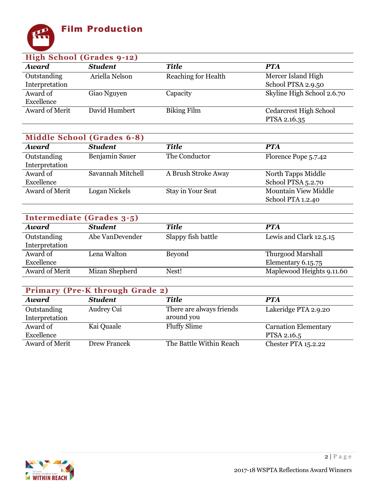

| High School (Grades 9-12) |                |                            |                               |  |
|---------------------------|----------------|----------------------------|-------------------------------|--|
| <b>Award</b>              | <b>Student</b> | Title                      | <b>PTA</b>                    |  |
| Outstanding               | Ariella Nelson | <b>Reaching for Health</b> | Mercer Island High            |  |
| Interpretation            |                |                            | School PTSA 2.9.50            |  |
| Award of                  | Giao Nguyen    | Capacity                   | Skyline High School 2.6.70    |  |
| Excellence                |                |                            |                               |  |
| Award of Merit            | David Humbert  | <b>Biking Film</b>         | <b>Cedarcrest High School</b> |  |
|                           |                |                            | PTSA 2.16.35                  |  |

| <b>Middle School (Grades 6-8)</b> |                   |                     |                             |  |
|-----------------------------------|-------------------|---------------------|-----------------------------|--|
| <b>Award</b>                      | <b>Student</b>    | <b>Title</b>        | <b>PTA</b>                  |  |
| Outstanding                       | Benjamin Sauer    | The Conductor       | Florence Pope 5.7.42        |  |
| Interpretation                    |                   |                     |                             |  |
| Award of                          | Savannah Mitchell | A Brush Stroke Away | North Tapps Middle          |  |
| Excellence                        |                   |                     | School PTSA 5.2.70          |  |
| Award of Merit                    | Logan Nickels     | Stay in Your Seat   | <b>Mountain View Middle</b> |  |
|                                   |                   |                     | School PTA 1.2.40           |  |

| Intermediate (Grades 3-5) |                 |                    |                           |  |
|---------------------------|-----------------|--------------------|---------------------------|--|
| <b>Award</b>              | <b>Student</b>  | <b>Title</b>       | <b>PTA</b>                |  |
| Outstanding               | Abe VanDevender | Slappy fish battle | Lewis and Clark 12.5.15   |  |
| Interpretation            |                 |                    |                           |  |
| Award of                  | Lena Walton     | Beyond             | <b>Thurgood Marshall</b>  |  |
| Excellence                |                 |                    | Elementary 6.15.75        |  |
| Award of Merit            | Mizan Shepherd  | Nest!              | Maplewood Heights 9.11.60 |  |

| Primary (Pre-K through Grade 2) |                |                                        |                                            |  |
|---------------------------------|----------------|----------------------------------------|--------------------------------------------|--|
| <b>Award</b>                    | <b>Student</b> | <b>Title</b>                           | <b>PTA</b>                                 |  |
| Outstanding<br>Interpretation   | Audrey Cui     | There are always friends<br>around you | Lakeridge PTA 2.9.20                       |  |
| Award of<br>Excellence          | Kai Quaale     | <b>Fluffy Slime</b>                    | <b>Carnation Elementary</b><br>PTSA 2.16.5 |  |
| Award of Merit                  | Drew Francek   | The Battle Within Reach                | <b>Chester PTA 15.2.22</b>                 |  |

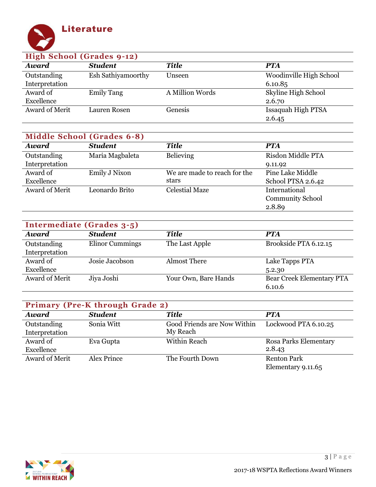

| High School (Grades 9-12) |                     |                 |                         |  |
|---------------------------|---------------------|-----------------|-------------------------|--|
| <b>Award</b>              | <b>Student</b>      | Title           | <b>PTA</b>              |  |
| Outstanding               | Esh Sathiyamoorthy  | Unseen          | Woodinville High School |  |
| Interpretation            |                     |                 | 6.10.85                 |  |
| Award of                  | <b>Emily Tang</b>   | A Million Words | Skyline High School     |  |
| Excellence                |                     |                 | 2.6.70                  |  |
| Award of Merit            | <b>Lauren Rosen</b> | Genesis         | Issaquah High PTSA      |  |
|                           |                     |                 | 2.6.45                  |  |

| Middle School (Grades 6-8) |                 |                              |                         |  |
|----------------------------|-----------------|------------------------------|-------------------------|--|
| <b>Award</b>               | <b>Student</b>  | <b>Title</b>                 | <b>PTA</b>              |  |
| Outstanding                | Maria Magbaleta | Believing                    | Risdon Middle PTA       |  |
| Interpretation             |                 |                              | 9.11.92                 |  |
| Award of                   | Emily J Nixon   | We are made to reach for the | Pine Lake Middle        |  |
| Excellence                 |                 | stars                        | School PTSA 2.6.42      |  |
| Award of Merit             | Leonardo Brito  | <b>Celestial Maze</b>        | International           |  |
|                            |                 |                              | <b>Community School</b> |  |
|                            |                 |                              | 2.8.89                  |  |

| Intermediate (Grades 3-5) |                 |                      |                           |  |
|---------------------------|-----------------|----------------------|---------------------------|--|
| <b>Award</b>              | <b>Student</b>  | <b>Title</b>         | <b>PTA</b>                |  |
| Outstanding               | Elinor Cummings | The Last Apple       | Brookside PTA 6.12.15     |  |
| Interpretation            |                 |                      |                           |  |
| Award of                  | Josie Jacobson  | <b>Almost There</b>  | Lake Tapps PTA            |  |
| Excellence                |                 |                      | 5.2.30                    |  |
| Award of Merit            | Jiya Joshi      | Your Own, Bare Hands | Bear Creek Elementary PTA |  |
|                           |                 |                      | 6.10.6                    |  |

| <b>Primary (Pre-K through Grade 2)</b> |                    |                                         |                                          |  |
|----------------------------------------|--------------------|-----------------------------------------|------------------------------------------|--|
| <b>Award</b>                           | <b>Student</b>     | <b>Title</b>                            | <b>PTA</b>                               |  |
| Outstanding<br>Interpretation          | Sonia Witt         | Good Friends are Now Within<br>My Reach | Lockwood PTA 6.10.25                     |  |
| Award of<br>Excellence                 | Eva Gupta          | Within Reach                            | Rosa Parks Elementary<br>2.8.43          |  |
| Award of Merit                         | <b>Alex Prince</b> | The Fourth Down                         | <b>Renton Park</b><br>Elementary 9.11.65 |  |

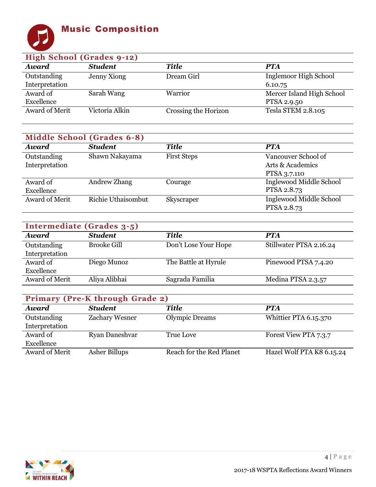### Music Composition



#### **High School (Grades 9-12)** *Award Student Title PTA* **Outstanding** Interpretation Jenny Xiong Dream Girl Inglemoor High School 6.10.75 Award of Excellence<br>Award of Merit Sarah Wang Warrior Mercer Island High School PTSA 2.9.50 Victoria Alkin Crossing the Horizon Tesla STEM 2.8.105

| <b>Middle School (Grades 6-8)</b> |                           |                    |                         |  |
|-----------------------------------|---------------------------|--------------------|-------------------------|--|
| <b>Award</b>                      | <b>Student</b>            | <b>Title</b>       | <b>PTA</b>              |  |
| Outstanding                       | Shawn Nakayama            | <b>First Steps</b> | Vancouver School of     |  |
| Interpretation                    |                           |                    | Arts & Academics        |  |
|                                   |                           |                    | PTSA 3.7.110            |  |
| Award of                          | Andrew Zhang              | Courage            | Inglewood Middle School |  |
| Excellence                        |                           |                    | PTSA 2.8.73             |  |
| Award of Merit                    | <b>Richie Uthaisombut</b> | Skyscraper         | Inglewood Middle School |  |
|                                   |                           |                    | PTSA 2.8.73             |  |

| Intermediate (Grades 3-5) |                    |                      |                         |
|---------------------------|--------------------|----------------------|-------------------------|
| <b>Award</b>              | <b>Student</b>     | <b>Title</b>         | <b>PTA</b>              |
| Outstanding               | <b>Brooke Gill</b> | Don't Lose Your Hope | Stillwater PTSA 2.16.24 |
| Interpretation            |                    |                      |                         |
| Award of                  | Diego Munoz        | The Battle at Hyrule | Pinewood PTSA 7.4.20    |
| Excellence                |                    |                      |                         |
| Award of Merit            | Aliya Alibhai      | Sagrada Familia      | Medina PTSA 2.3.57      |

| <b>Primary (Pre-K through Grade 2)</b> |                      |                          |                           |  |
|----------------------------------------|----------------------|--------------------------|---------------------------|--|
| <b>Award</b>                           | <b>Student</b>       | <b>Title</b>             | <b>PTA</b>                |  |
| Outstanding                            | Zachary Wesner       | <b>Olympic Dreams</b>    | Whittier PTA 6.15.370     |  |
| Interpretation                         |                      |                          |                           |  |
| Award of                               | Ryan Daneshvar       | True Love                | Forest View PTA 7.3.7     |  |
| Excellence                             |                      |                          |                           |  |
| Award of Merit                         | <b>Asher Billups</b> | Reach for the Red Planet | Hazel Wolf PTA K8 6.15.24 |  |

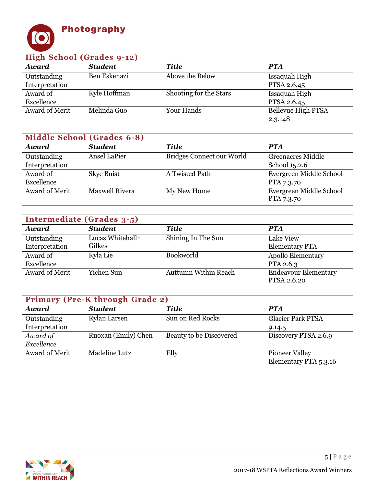

| High School (Grades 9-12) |                |                        |                    |  |
|---------------------------|----------------|------------------------|--------------------|--|
| <b>Award</b>              | <b>Student</b> | <b>Title</b>           | <b>PTA</b>         |  |
| Outstanding               | Ben Eskenazi   | Above the Below        | Issaquah High      |  |
| Interpretation            |                |                        | PTSA 2.6.45        |  |
| Award of                  | Kyle Hoffman   | Shooting for the Stars | Issaquah High      |  |
| Excellence                |                |                        | PTSA 2.6.45        |  |
| Award of Merit            | Melinda Guo    | Your Hands             | Bellevue High PTSA |  |
|                           |                |                        | 2.3.148            |  |

| <b>Middle School (Grades 6-8)</b> |                       |                           |                          |  |
|-----------------------------------|-----------------------|---------------------------|--------------------------|--|
| <b>Award</b>                      | <b>Student</b>        | <b>Title</b>              | <b>PTA</b>               |  |
| Outstanding                       | <b>Ansel LaPier</b>   | Bridges Connect our World | <b>Greenacres Middle</b> |  |
| Interpretation                    |                       |                           | School 15.2.6            |  |
| Award of                          | Skye Buist            | A Twisted Path            | Evergreen Middle School  |  |
| Excellence                        |                       |                           | PTA 7.3.70               |  |
| Award of Merit                    | <b>Maxwell Rivera</b> | My New Home               | Evergreen Middle School  |  |
|                                   |                       |                           | PTA 7.3.70               |  |

| Intermediate (Grades 3-5) |                  |                             |                             |
|---------------------------|------------------|-----------------------------|-----------------------------|
| <b>Award</b>              | <b>Student</b>   | <b>Title</b>                | <b>PTA</b>                  |
| Outstanding               | Lucas Whitehall- | Shining In The Sun          | Lake View                   |
| Interpretation            | Gilkes           |                             | <b>Elementary PTA</b>       |
| Award of                  | Kyla Lie         | <b>Bookworld</b>            | <b>Apollo Elementary</b>    |
| Excellence                |                  |                             | PTA 2.6.3                   |
| Award of Merit            | Yichen Sun       | <b>Auttumn Within Reach</b> | <b>Endeavour Elementary</b> |
|                           |                  |                             | PTSA 2.6.20                 |

| <b>Primary (Pre-K through Grade 2)</b> |                      |                         |                          |
|----------------------------------------|----------------------|-------------------------|--------------------------|
| <b>Award</b>                           | <b>Student</b>       | <b>Title</b>            | <b>PTA</b>               |
| Outstanding                            | Rylan Larsen         | Sun on Red Rocks        | <b>Glacier Park PTSA</b> |
| Interpretation                         |                      |                         | 9.14.5                   |
| Award of                               | Ruoxan (Emily) Chen  | Beauty to be Discovered | Discovery PTSA 2.6.9     |
| Excellence                             |                      |                         |                          |
| Award of Merit                         | <b>Madeline Lutz</b> | Elly                    | <b>Pioneer Valley</b>    |
|                                        |                      |                         | Elementary PTA 5.3.16    |

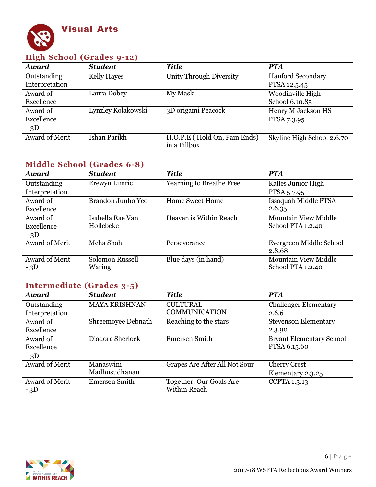

| High School (Grades 9-12) |                    |                                              |                            |  |
|---------------------------|--------------------|----------------------------------------------|----------------------------|--|
| <b>Award</b>              | <b>Student</b>     | <b>Title</b>                                 | <b>PTA</b>                 |  |
| Outstanding               | <b>Kelly Hayes</b> | <b>Unity Through Diversity</b>               | <b>Hanford Secondary</b>   |  |
| Interpretation            |                    |                                              | PTSA 12.5.45               |  |
| Award of                  | Laura Dobey        | My Mask                                      | Woodinville High           |  |
| Excellence                |                    |                                              | School 6.10.85             |  |
| Award of                  | Lynzley Kolakowski | 3D origami Peacock                           | Henry M Jackson HS         |  |
| Excellence                |                    |                                              | PTSA 7.3.95                |  |
| $-3D$                     |                    |                                              |                            |  |
| <b>Award of Merit</b>     | Ishan Parikh       | H.O.P.E (Hold On, Pain Ends)<br>in a Pillbox | Skyline High School 2.6.70 |  |

| Middle School (Grades 6-8) |                   |                                 |                             |
|----------------------------|-------------------|---------------------------------|-----------------------------|
| Award                      | <b>Student</b>    | <b>Title</b>                    | <b>PTA</b>                  |
| Outstanding                | Erewyn Limric     | <b>Yearning to Breathe Free</b> | Kalles Junior High          |
| Interpretation             |                   |                                 | PTSA 5.7.95                 |
| Award of                   | Brandon Junho Yeo | <b>Home Sweet Home</b>          | Issaquah Middle PTSA        |
| Excellence                 |                   |                                 | 2.6.35                      |
| Award of                   | Isabella Rae Van  | Heaven is Within Reach          | <b>Mountain View Middle</b> |
| Excellence                 | Hollebeke         |                                 | School PTA 1.2.40           |
| $-3D$                      |                   |                                 |                             |
| <b>Award of Merit</b>      | Meha Shah         | Perseverance                    | Evergreen Middle School     |
|                            |                   |                                 | 2.8.68                      |
| Award of Merit             | Solomon Russell   | Blue days (in hand)             | <b>Mountain View Middle</b> |
| $-3D$                      | Waring            |                                 | School PTA 1.2.40           |

| Intermediate (Grades 3-5) |                      |                               |                                 |  |
|---------------------------|----------------------|-------------------------------|---------------------------------|--|
| <b>Award</b>              | <b>Student</b>       | <b>Title</b>                  | <b>PTA</b>                      |  |
| Outstanding               | <b>MAYA KRISHNAN</b> | <b>CULTURAL</b>               | <b>Challenger Elementary</b>    |  |
| Interpretation            |                      | <b>COMMUNICATION</b>          | 2.6.6                           |  |
| Award of                  | Shreemoyee Debnath   | Reaching to the stars         | <b>Stevenson Elementary</b>     |  |
| Excellence                |                      |                               | 2.3.90                          |  |
| Award of                  | Diadora Sherlock     | <b>Emersen Smith</b>          | <b>Bryant Elementary School</b> |  |
| Excellence                |                      |                               | PTSA 6.15.60                    |  |
| $-3D$                     |                      |                               |                                 |  |
| <b>Award of Merit</b>     | Manaswini            | Grapes Are After All Not Sour | <b>Cherry Crest</b>             |  |
|                           | Madhusudhanan        |                               | Elementary 2.3.25               |  |
| <b>Award of Merit</b>     | <b>Emersen Smith</b> | Together, Our Goals Are       | <b>CCPTA 1.3.13</b>             |  |
| $-3D$                     |                      | Within Reach                  |                                 |  |

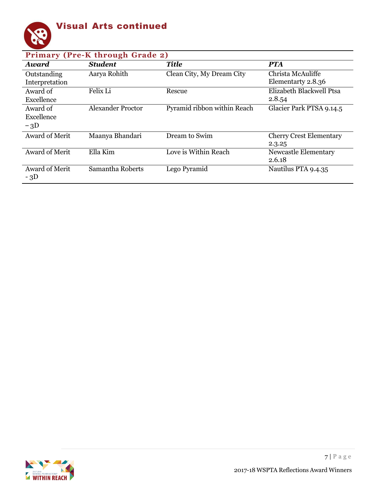

| <b>Primary (Pre-K through Grade 2)</b> |                          |                             |                                          |  |
|----------------------------------------|--------------------------|-----------------------------|------------------------------------------|--|
| <b>Award</b>                           | <b>Student</b>           | <b>Title</b>                | <b>PTA</b>                               |  |
| Outstanding<br>Interpretation          | Aarya Rohith             | Clean City, My Dream City   | Christa McAuliffe<br>Elementarty 2.8.36  |  |
| Award of<br>Excellence                 | Felix Li                 | Rescue                      | Elizabeth Blackwell Ptsa<br>2.8.54       |  |
| Award of<br>Excellence<br>$-3D$        | <b>Alexander Proctor</b> | Pyramid ribbon within Reach | Glacier Park PTSA 9.14.5                 |  |
| <b>Award of Merit</b>                  | Maanya Bhandari          | Dream to Swim               | <b>Cherry Crest Elementary</b><br>2.3.25 |  |
| <b>Award of Merit</b>                  | Ella Kim                 | Love is Within Reach        | Newcastle Elementary<br>2.6.18           |  |
| <b>Award of Merit</b><br>$-3D$         | Samantha Roberts         | Lego Pyramid                | Nautilus PTA 9.4.35                      |  |